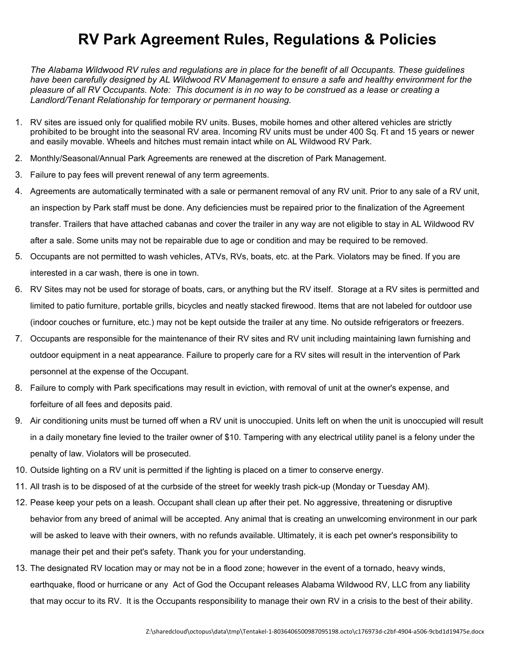## **RV Park Agreement Rules, Regulations & Policies**

*The Alabama Wildwood RV rules and regulations are in place for the benefit of all Occupants. These guidelines have been carefully designed by AL Wildwood RV Management to ensure a safe and healthy environment for the pleasure of all RV Occupants. Note: This document is in no way to be construed as a lease or creating a Landlord/Tenant Relationship for temporary or permanent housing.* 

- 1. RV sites are issued only for qualified mobile RV units. Buses, mobile homes and other altered vehicles are strictly prohibited to be brought into the seasonal RV area. Incoming RV units must be under 400 Sq. Ft and 15 years or newer and easily movable. Wheels and hitches must remain intact while on AL Wildwood RV Park.
- 2. Monthly/Seasonal/Annual Park Agreements are renewed at the discretion of Park Management.
- 3. Failure to pay fees will prevent renewal of any term agreements.
- 4. Agreements are automatically terminated with a sale or permanent removal of any RV unit. Prior to any sale of a RV unit, an inspection by Park staff must be done. Any deficiencies must be repaired prior to the finalization of the Agreement transfer. Trailers that have attached cabanas and cover the trailer in any way are not eligible to stay in AL Wildwood RV after a sale. Some units may not be repairable due to age or condition and may be required to be removed.
- 5. Occupants are not permitted to wash vehicles, ATVs, RVs, boats, etc. at the Park. Violators may be fined. If you are interested in a car wash, there is one in town.
- 6. RV Sites may not be used for storage of boats, cars, or anything but the RV itself. Storage at a RV sites is permitted and limited to patio furniture, portable grills, bicycles and neatly stacked firewood. Items that are not labeled for outdoor use (indoor couches or furniture, etc.) may not be kept outside the trailer at any time. No outside refrigerators or freezers.
- 7. Occupants are responsible for the maintenance of their RV sites and RV unit including maintaining lawn furnishing and outdoor equipment in a neat appearance. Failure to properly care for a RV sites will result in the intervention of Park personnel at the expense of the Occupant.
- 8. Failure to comply with Park specifications may result in eviction, with removal of unit at the owner's expense, and forfeiture of all fees and deposits paid.
- 9. Air conditioning units must be turned off when a RV unit is unoccupied. Units left on when the unit is unoccupied will result in a daily monetary fine levied to the trailer owner of \$10. Tampering with any electrical utility panel is a felony under the penalty of law. Violators will be prosecuted.
- 10. Outside lighting on a RV unit is permitted if the lighting is placed on a timer to conserve energy.
- 11. All trash is to be disposed of at the curbside of the street for weekly trash pick-up (Monday or Tuesday AM).
- 12. Pease keep your pets on a leash. Occupant shall clean up after their pet. No aggressive, threatening or disruptive behavior from any breed of animal will be accepted. Any animal that is creating an unwelcoming environment in our park will be asked to leave with their owners, with no refunds available. Ultimately, it is each pet owner's responsibility to manage their pet and their pet's safety. Thank you for your understanding.
- 13. The designated RV location may or may not be in a flood zone; however in the event of a tornado, heavy winds, earthquake, flood or hurricane or any Act of God the Occupant releases Alabama Wildwood RV, LLC from any liability that may occur to its RV. It is the Occupants responsibility to manage their own RV in a crisis to the best of their ability.